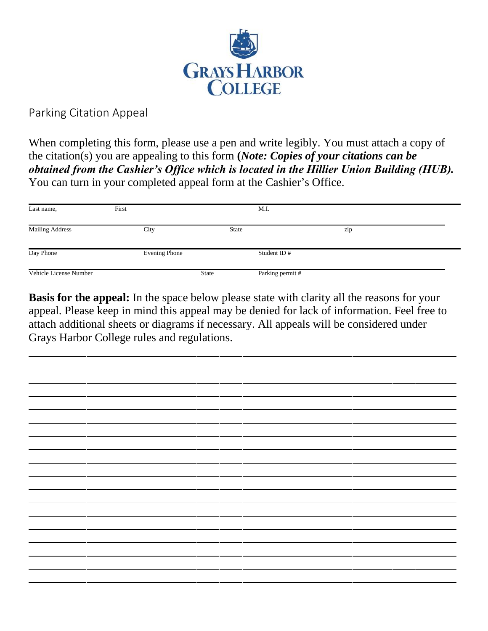

Parking Citation Appeal

When completing this form, please use a pen and write legibly. You must attach a copy of the citation(s) you are appealing to this form **(***Note: Copies of your citations can be obtained from the Cashier's Office which is located in the Hillier Union Building (HUB).*  You can turn in your completed appeal form at the Cashier's Office.

| Last name,             | First         |              | M.I.             |     |  |
|------------------------|---------------|--------------|------------------|-----|--|
| <b>Mailing Address</b> | City          | State        |                  | zip |  |
| Day Phone              | Evening Phone |              | Student ID $#$   |     |  |
| Vehicle License Number |               | <b>State</b> | Parking permit # |     |  |

**Basis for the appeal:** In the space below please state with clarity all the reasons for your appeal. Please keep in mind this appeal may be denied for lack of information. Feel free to attach additional sheets or diagrams if necessary. All appeals will be considered under Grays Harbor College rules and regulations.